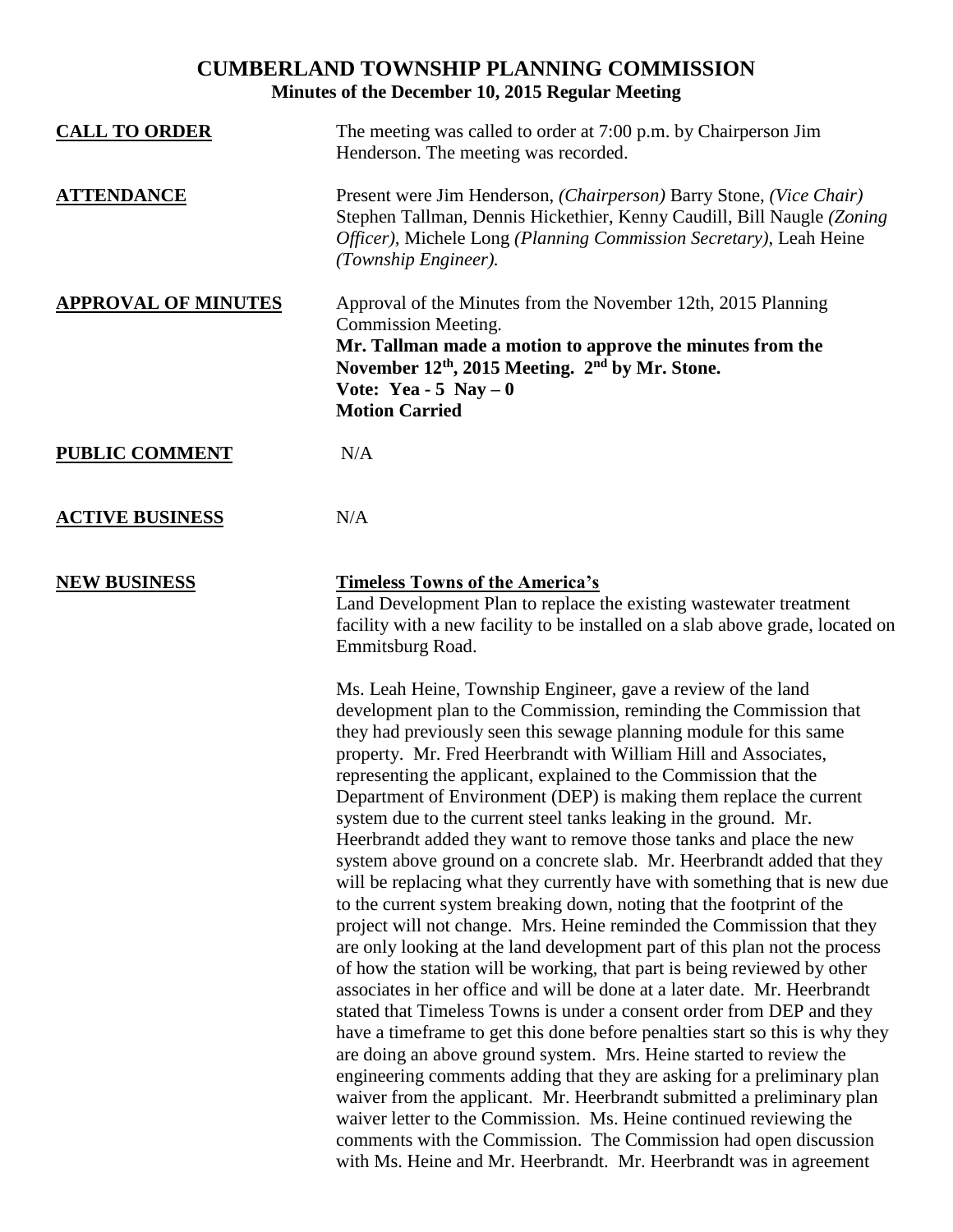## **CUMBERLAND TOWNSHIP PLANNING COMMISSION Minutes of the December 10, 2015 Regular Meeting**

| <b>CALL TO ORDER</b>       | The meeting was called to order at 7:00 p.m. by Chairperson Jim<br>Henderson. The meeting was recorded.                                                                                                                                                                                                                                                                                                                                                                                                                                                                                                                                                                                                                                                                                                                                                                                                                                                                                                                                                                                                                                                                                                                                                                                                                                                                                                                                                                                                                                                                                                                                       |
|----------------------------|-----------------------------------------------------------------------------------------------------------------------------------------------------------------------------------------------------------------------------------------------------------------------------------------------------------------------------------------------------------------------------------------------------------------------------------------------------------------------------------------------------------------------------------------------------------------------------------------------------------------------------------------------------------------------------------------------------------------------------------------------------------------------------------------------------------------------------------------------------------------------------------------------------------------------------------------------------------------------------------------------------------------------------------------------------------------------------------------------------------------------------------------------------------------------------------------------------------------------------------------------------------------------------------------------------------------------------------------------------------------------------------------------------------------------------------------------------------------------------------------------------------------------------------------------------------------------------------------------------------------------------------------------|
| <b>ATTENDANCE</b>          | Present were Jim Henderson, (Chairperson) Barry Stone, (Vice Chair)<br>Stephen Tallman, Dennis Hickethier, Kenny Caudill, Bill Naugle (Zoning<br>Officer), Michele Long (Planning Commission Secretary), Leah Heine<br>(Township Engineer).                                                                                                                                                                                                                                                                                                                                                                                                                                                                                                                                                                                                                                                                                                                                                                                                                                                                                                                                                                                                                                                                                                                                                                                                                                                                                                                                                                                                   |
| <b>APPROVAL OF MINUTES</b> | Approval of the Minutes from the November 12th, 2015 Planning<br>Commission Meeting.<br>Mr. Tallman made a motion to approve the minutes from the<br>November 12 <sup>th</sup> , 2015 Meeting. 2 <sup>nd</sup> by Mr. Stone.<br>Vote: Yea - 5 Nay $-0$<br><b>Motion Carried</b>                                                                                                                                                                                                                                                                                                                                                                                                                                                                                                                                                                                                                                                                                                                                                                                                                                                                                                                                                                                                                                                                                                                                                                                                                                                                                                                                                               |
| <b>PUBLIC COMMENT</b>      | N/A                                                                                                                                                                                                                                                                                                                                                                                                                                                                                                                                                                                                                                                                                                                                                                                                                                                                                                                                                                                                                                                                                                                                                                                                                                                                                                                                                                                                                                                                                                                                                                                                                                           |
| <b>ACTIVE BUSINESS</b>     | N/A                                                                                                                                                                                                                                                                                                                                                                                                                                                                                                                                                                                                                                                                                                                                                                                                                                                                                                                                                                                                                                                                                                                                                                                                                                                                                                                                                                                                                                                                                                                                                                                                                                           |
| <b>NEW BUSINESS</b>        | <b>Timeless Towns of the America's</b><br>Land Development Plan to replace the existing wastewater treatment<br>facility with a new facility to be installed on a slab above grade, located on<br>Emmitsburg Road.                                                                                                                                                                                                                                                                                                                                                                                                                                                                                                                                                                                                                                                                                                                                                                                                                                                                                                                                                                                                                                                                                                                                                                                                                                                                                                                                                                                                                            |
|                            | Ms. Leah Heine, Township Engineer, gave a review of the land<br>development plan to the Commission, reminding the Commission that<br>they had previously seen this sewage planning module for this same<br>property. Mr. Fred Heerbrandt with William Hill and Associates,<br>representing the applicant, explained to the Commission that the<br>Department of Environment (DEP) is making them replace the current<br>system due to the current steel tanks leaking in the ground. Mr.<br>Heerbrandt added they want to remove those tanks and place the new<br>system above ground on a concrete slab. Mr. Heerbrandt added that they<br>will be replacing what they currently have with something that is new due<br>to the current system breaking down, noting that the footprint of the<br>project will not change. Mrs. Heine reminded the Commission that they<br>are only looking at the land development part of this plan not the process<br>of how the station will be working, that part is being reviewed by other<br>associates in her office and will be done at a later date. Mr. Heerbrandt<br>stated that Timeless Towns is under a consent order from DEP and they<br>have a time frame to get this done before penalties start so this is why they<br>are doing an above ground system. Mrs. Heine started to review the<br>engineering comments adding that they are asking for a preliminary plan<br>waiver from the applicant. Mr. Heerbrandt submitted a preliminary plan<br>waiver letter to the Commission. Ms. Heine continued reviewing the<br>comments with the Commission. The Commission had open discussion |

with Ms. Heine and Mr. Heerbrandt. Mr. Heerbrandt was in agreement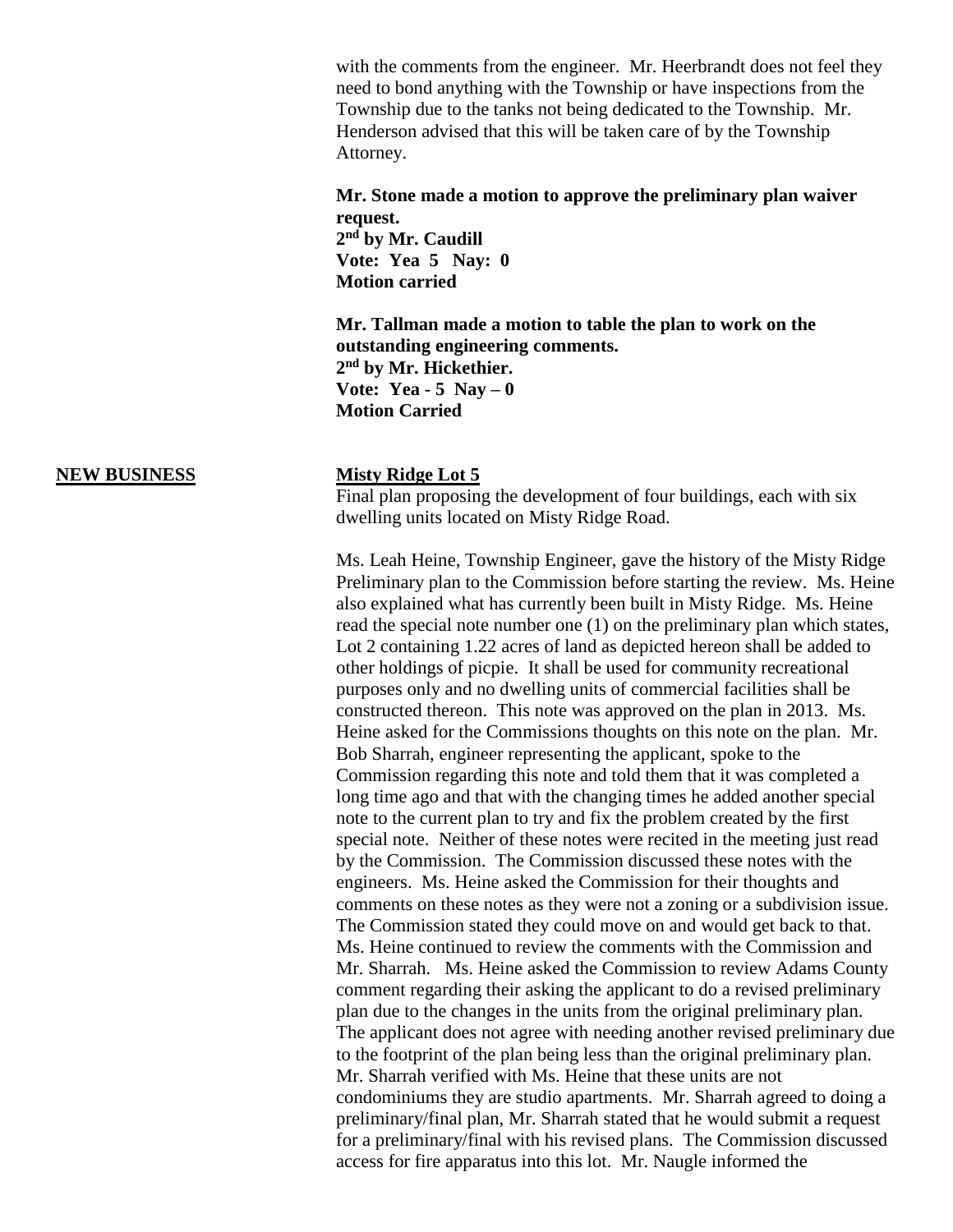with the comments from the engineer. Mr. Heerbrandt does not feel they need to bond anything with the Township or have inspections from the Township due to the tanks not being dedicated to the Township. Mr. Henderson advised that this will be taken care of by the Township Attorney.

**Mr. Stone made a motion to approve the preliminary plan waiver request.**

**2 nd by Mr. Caudill Vote: Yea 5 Nay: 0 Motion carried** 

**Mr. Tallman made a motion to table the plan to work on the outstanding engineering comments. 2 nd by Mr. Hickethier. Vote: Yea - 5 Nay – 0 Motion Carried**

## **NEW BUSINESS Misty Ridge Lot 5**

Final plan proposing the development of four buildings, each with six dwelling units located on Misty Ridge Road.

Ms. Leah Heine, Township Engineer, gave the history of the Misty Ridge Preliminary plan to the Commission before starting the review. Ms. Heine also explained what has currently been built in Misty Ridge. Ms. Heine read the special note number one (1) on the preliminary plan which states, Lot 2 containing 1.22 acres of land as depicted hereon shall be added to other holdings of picpie. It shall be used for community recreational purposes only and no dwelling units of commercial facilities shall be constructed thereon. This note was approved on the plan in 2013. Ms. Heine asked for the Commissions thoughts on this note on the plan. Mr. Bob Sharrah, engineer representing the applicant, spoke to the Commission regarding this note and told them that it was completed a long time ago and that with the changing times he added another special note to the current plan to try and fix the problem created by the first special note. Neither of these notes were recited in the meeting just read by the Commission. The Commission discussed these notes with the engineers. Ms. Heine asked the Commission for their thoughts and comments on these notes as they were not a zoning or a subdivision issue. The Commission stated they could move on and would get back to that. Ms. Heine continued to review the comments with the Commission and Mr. Sharrah. Ms. Heine asked the Commission to review Adams County comment regarding their asking the applicant to do a revised preliminary plan due to the changes in the units from the original preliminary plan. The applicant does not agree with needing another revised preliminary due to the footprint of the plan being less than the original preliminary plan. Mr. Sharrah verified with Ms. Heine that these units are not condominiums they are studio apartments. Mr. Sharrah agreed to doing a preliminary/final plan, Mr. Sharrah stated that he would submit a request for a preliminary/final with his revised plans. The Commission discussed access for fire apparatus into this lot. Mr. Naugle informed the